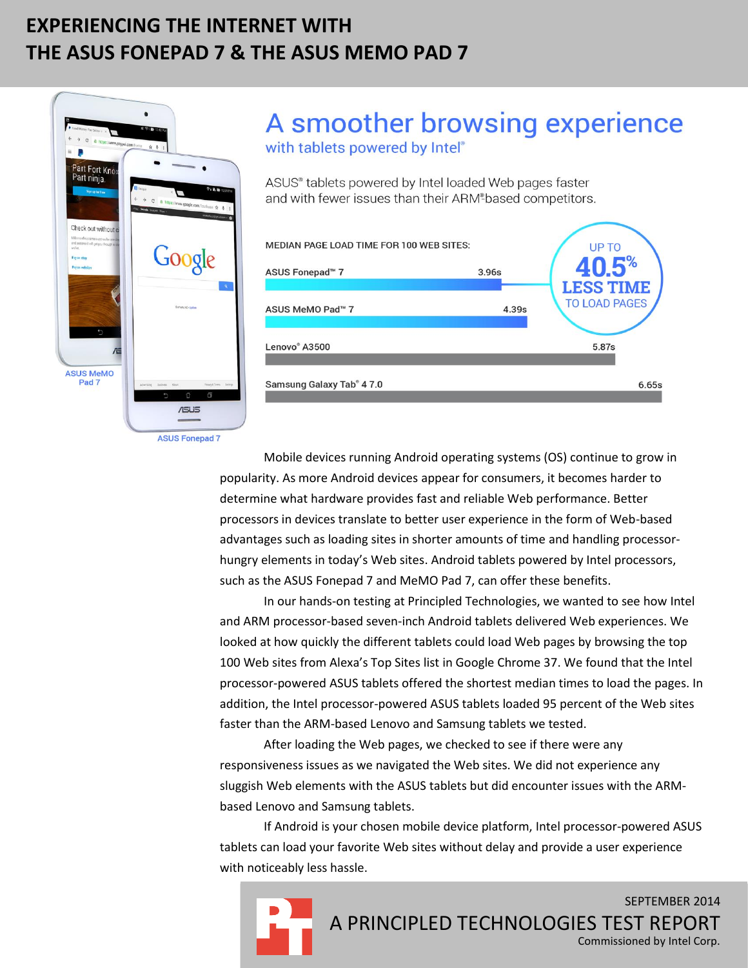# **EXPERIENCING THE INTERNET WITH THE ASUS FONEPAD 7 & THE ASUS MEMO PAD 7**



# A smoother browsing experience

with tablets powered by Intel®

ASUS® tablets powered by Intel loaded Web pages faster and with fewer issues than their ARM<sup>®</sup>based competitors.



**ASUS Fonepad 7** 

Mobile devices running Android operating systems (OS) continue to grow in popularity. As more Android devices appear for consumers, it becomes harder to determine what hardware provides fast and reliable Web performance. Better processors in devices translate to better user experience in the form of Web-based advantages such as loading sites in shorter amounts of time and handling processorhungry elements in today's Web sites. Android tablets powered by Intel processors, such as the ASUS Fonepad 7 and MeMO Pad 7, can offer these benefits.

In our hands-on testing at Principled Technologies, we wanted to see how Intel and ARM processor-based seven-inch Android tablets delivered Web experiences. We looked at how quickly the different tablets could load Web pages by browsing the top 100 Web sites from Alexa's Top Sites list in Google Chrome 37. We found that the Intel processor-powered ASUS tablets offered the shortest median times to load the pages. In addition, the Intel processor-powered ASUS tablets loaded 95 percent of the Web sites faster than the ARM-based Lenovo and Samsung tablets we tested.

After loading the Web pages, we checked to see if there were any responsiveness issues as we navigated the Web sites. We did not experience any sluggish Web elements with the ASUS tablets but did encounter issues with the ARMbased Lenovo and Samsung tablets.

If Android is your chosen mobile device platform, Intel processor-powered ASUS tablets can load your favorite Web sites without delay and provide a user experience with noticeably less hassle.

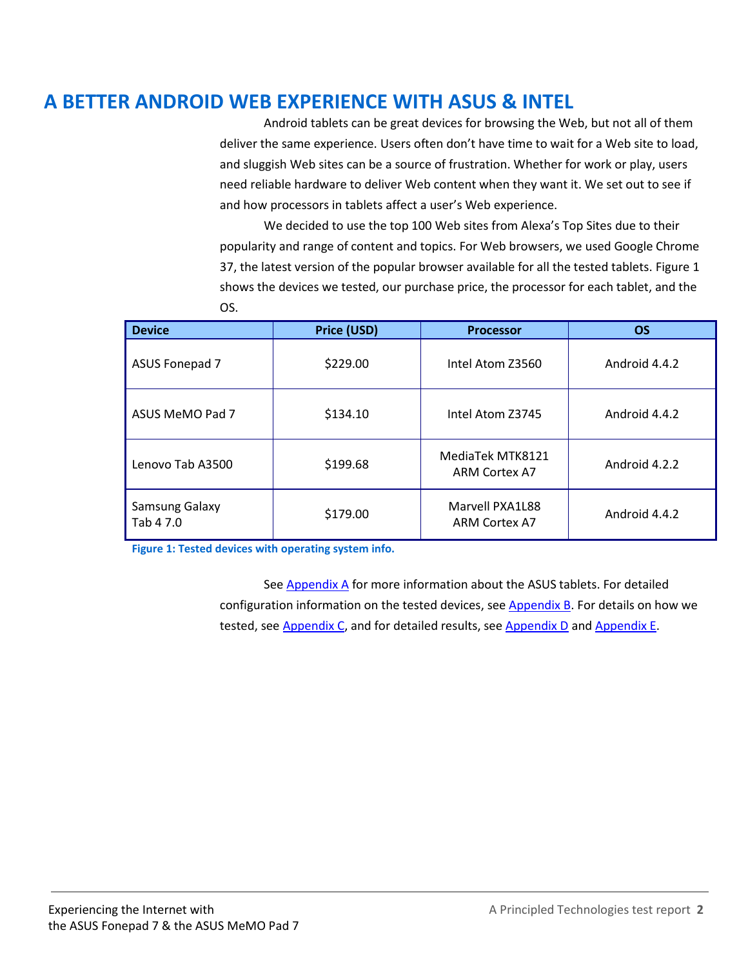### **A BETTER ANDROID WEB EXPERIENCE WITH ASUS & INTEL**

Android tablets can be great devices for browsing the Web, but not all of them deliver the same experience. Users often don't have time to wait for a Web site to load, and sluggish Web sites can be a source of frustration. Whether for work or play, users need reliable hardware to deliver Web content when they want it. We set out to see if and how processors in tablets affect a user's Web experience.

We decided to use the top 100 Web sites from Alexa's Top Sites due to their popularity and range of content and topics. For Web browsers, we used Google Chrome 37, the latest version of the popular browser available for all the tested tablets. Figure 1 shows the devices we tested, our purchase price, the processor for each tablet, and the OS.

| <b>Device</b>               | Price (USD) | <b>Processor</b>                        | <b>OS</b>     |
|-----------------------------|-------------|-----------------------------------------|---------------|
| ASUS Fonepad 7              | \$229.00    | Intel Atom Z3560                        | Android 4.4.2 |
| ASUS MeMO Pad 7             | \$134.10    | Intel Atom Z3745                        | Android 4.4.2 |
| Lenovo Tab A3500            | \$199.68    | MediaTek MTK8121<br>ARM Cortex A7       | Android 4.2.2 |
| Samsung Galaxy<br>Tab 4 7.0 | \$179.00    | Marvell PXA1L88<br><b>ARM Cortex A7</b> | Android 4.4.2 |

**Figure 1: Tested devices with operating system info.**

Se[e Appendix A](#page-4-0) for more information about the ASUS tablets. For detailed configuration information on the tested devices, see **Appendix B**. For details on how we tested, see [Appendix C,](#page-6-0) and for detailed results, see [Appendix D](#page-7-0) and [Appendix E.](#page-13-0)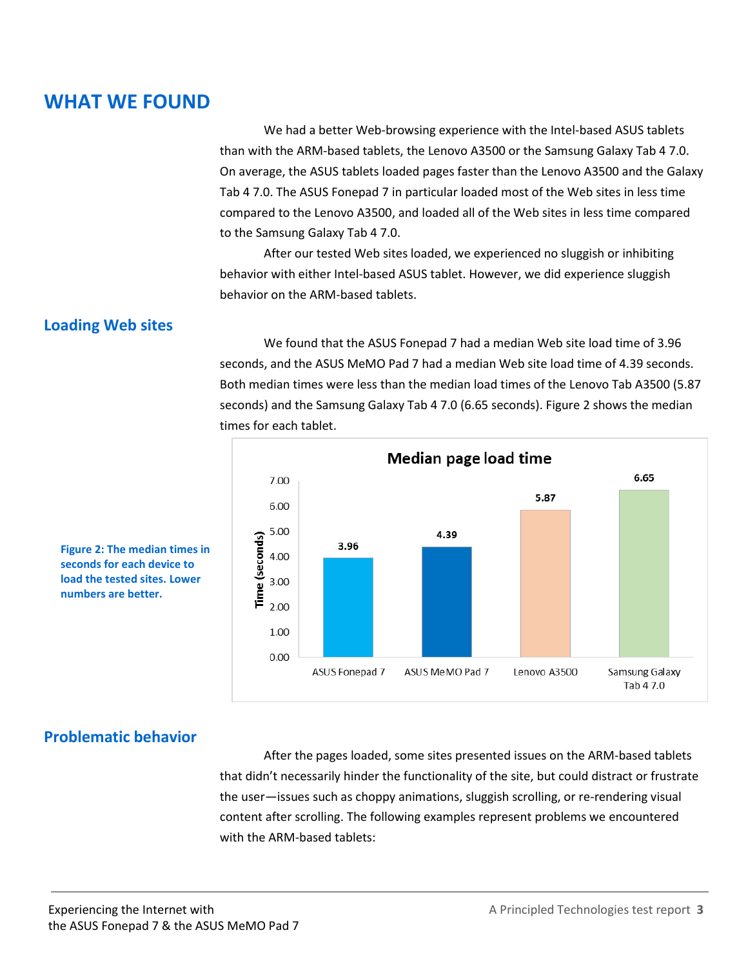### **WHAT WE FOUND**

We had a better Web-browsing experience with the Intel-based ASUS tablets than with the ARM-based tablets, the Lenovo A3500 or the Samsung Galaxy Tab 4 7.0. On average, the ASUS tablets loaded pages faster than the Lenovo A3500 and the Galaxy Tab 4 7.0. The ASUS Fonepad 7 in particular loaded most of the Web sites in less time compared to the Lenovo A3500, and loaded all of the Web sites in less time compared to the Samsung Galaxy Tab 4 7.0.

After our tested Web sites loaded, we experienced no sluggish or inhibiting behavior with either Intel-based ASUS tablet. However, we did experience sluggish behavior on the ARM-based tablets.

#### **Loading Web sites**

We found that the ASUS Fonepad 7 had a median Web site load time of 3.96 seconds, and the ASUS MeMO Pad 7 had a median Web site load time of 4.39 seconds. Both median times were less than the median load times of the Lenovo Tab A3500 (5.87 seconds) and the Samsung Galaxy Tab 4 7.0 (6.65 seconds). Figure 2 shows the median times for each tablet.



**Figure 2: The median times in seconds for each device to load the tested sites. Lower numbers are better.**

#### **Problematic behavior**

After the pages loaded, some sites presented issues on the ARM-based tablets that didn't necessarily hinder the functionality of the site, but could distract or frustrate the user—issues such as choppy animations, sluggish scrolling, or re-rendering visual content after scrolling. The following examples represent problems we encountered with the ARM-based tablets: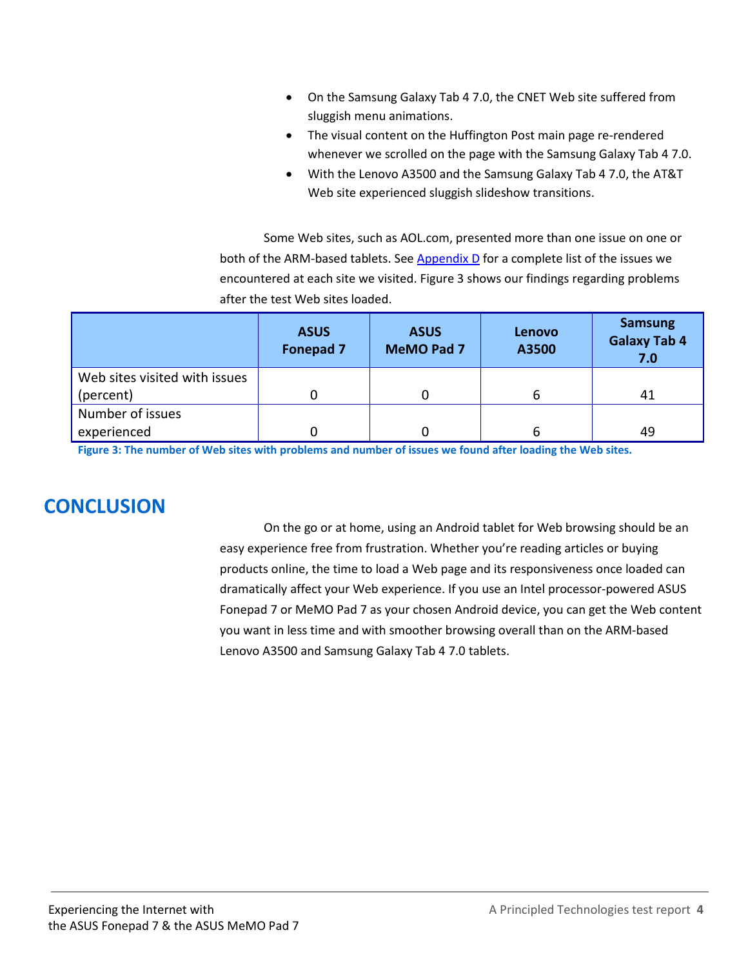- On the Samsung Galaxy Tab 4 7.0, the CNET Web site suffered from sluggish menu animations.
- The visual content on the Huffington Post main page re-rendered whenever we scrolled on the page with the Samsung Galaxy Tab 4 7.0.
- With the Lenovo A3500 and the Samsung Galaxy Tab 4 7.0, the AT&T Web site experienced sluggish slideshow transitions.

Some Web sites, such as AOL.com, presented more than one issue on one or both of the ARM-based tablets. See  $\Delta$ ppendix  $D$  for a complete list of the issues we encountered at each site we visited. Figure 3 shows our findings regarding problems after the test Web sites loaded.

|                               | <b>ASUS</b><br><b>Fonepad 7</b> | <b>ASUS</b><br><b>MeMO Pad 7</b> | <b>Lenovo</b><br>A3500 | <b>Samsung</b><br><b>Galaxy Tab 4</b><br>7.0 |
|-------------------------------|---------------------------------|----------------------------------|------------------------|----------------------------------------------|
| Web sites visited with issues |                                 |                                  |                        |                                              |
| (percent)                     |                                 |                                  |                        | 41                                           |
| Number of issues              |                                 |                                  |                        |                                              |
| experienced                   |                                 |                                  |                        | 49                                           |

**Figure 3: The number of Web sites with problems and number of issues we found after loading the Web sites.**

# **CONCLUSION**

On the go or at home, using an Android tablet for Web browsing should be an easy experience free from frustration. Whether you're reading articles or buying products online, the time to load a Web page and its responsiveness once loaded can dramatically affect your Web experience. If you use an Intel processor-powered ASUS Fonepad 7 or MeMO Pad 7 as your chosen Android device, you can get the Web content you want in less time and with smoother browsing overall than on the ARM-based Lenovo A3500 and Samsung Galaxy Tab 4 7.0 tablets.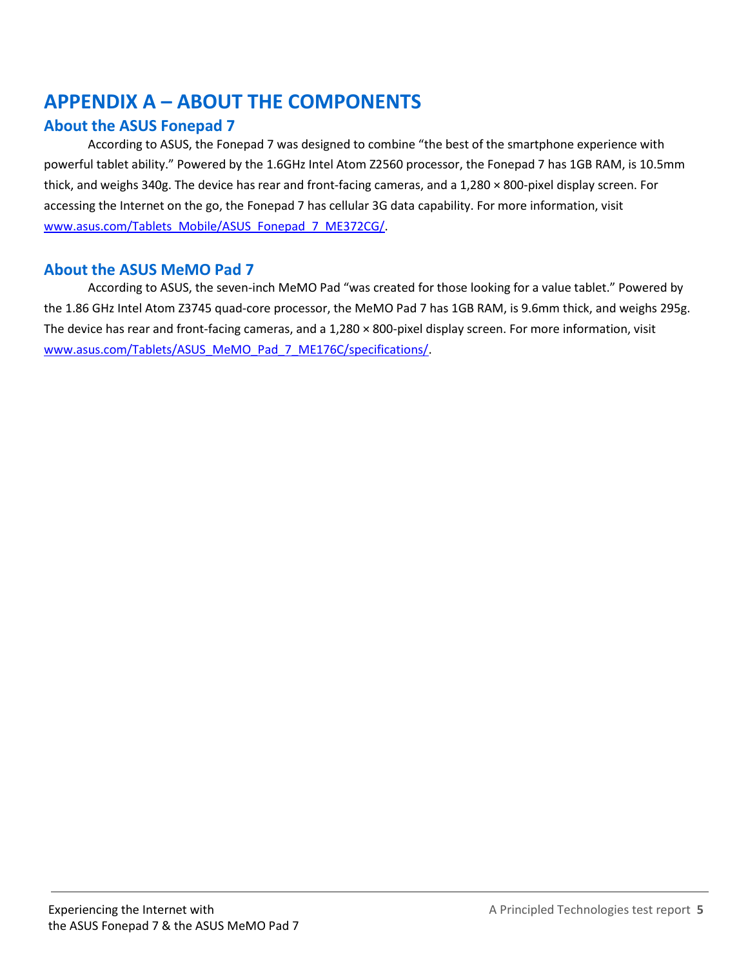### <span id="page-4-0"></span>**APPENDIX A – ABOUT THE COMPONENTS**

#### **About the ASUS Fonepad 7**

According to ASUS, the Fonepad 7 was designed to combine "the best of the smartphone experience with powerful tablet ability." Powered by the 1.6GHz Intel Atom Z2560 processor, the Fonepad 7 has 1GB RAM, is 10.5mm thick, and weighs 340g. The device has rear and front-facing cameras, and a 1,280 × 800-pixel display screen. For accessing the Internet on the go, the Fonepad 7 has cellular 3G data capability. For more information, visit [www.asus.com/Tablets\\_Mobile/ASUS\\_Fonepad\\_7\\_ME372CG/.](http://www.asus.com/Tablets_Mobile/ASUS_Fonepad_7_ME372CG/)

#### **About the ASUS MeMO Pad 7**

According to ASUS, the seven-inch MeMO Pad "was created for those looking for a value tablet." Powered by the 1.86 GHz Intel Atom Z3745 quad-core processor, the MeMO Pad 7 has 1GB RAM, is 9.6mm thick, and weighs 295g. The device has rear and front-facing cameras, and a 1,280 × 800-pixel display screen. For more information, visit [www.asus.com/Tablets/ASUS\\_MeMO\\_Pad\\_7\\_ME176C/specifications/.](http://www.asus.com/Tablets/ASUS_MeMO_Pad_7_ME176C/specifications/)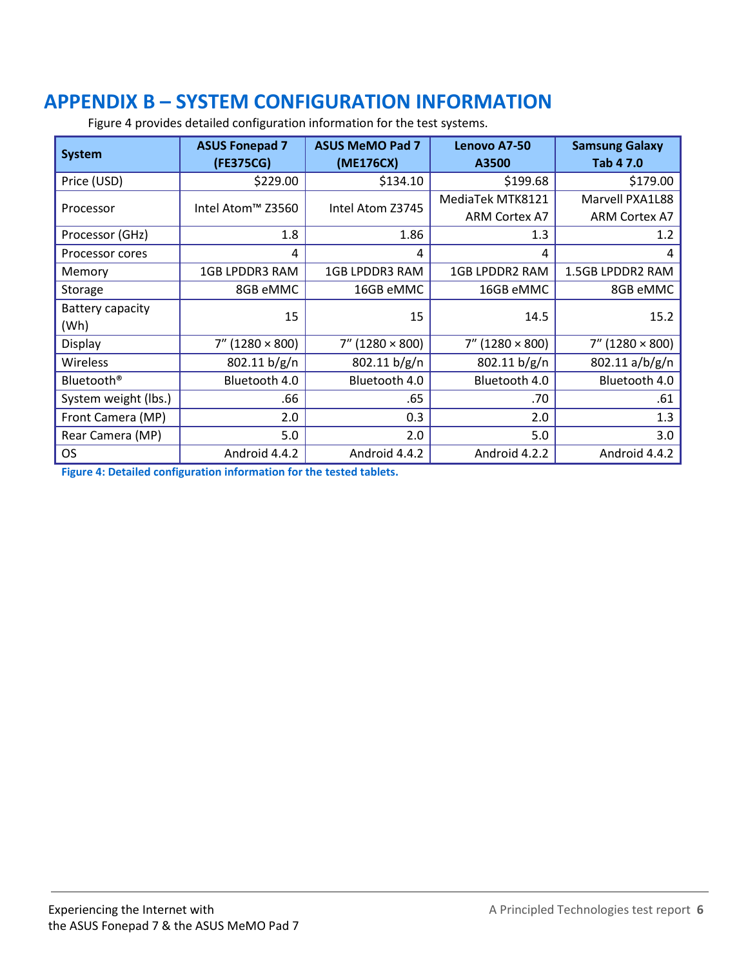# <span id="page-5-0"></span>**APPENDIX B – SYSTEM CONFIGURATION INFORMATION**

| <b>System</b>          | <b>ASUS Fonepad 7</b><br>(FE375CG) | <b>ASUS MeMO Pad 7</b><br>(ME176CX) | Lenovo A7-50<br>A3500     | <b>Samsung Galaxy</b><br>Tab 4 7.0 |  |
|------------------------|------------------------------------|-------------------------------------|---------------------------|------------------------------------|--|
| Price (USD)            | \$229.00                           | \$134.10                            | \$199.68                  | \$179.00                           |  |
| Processor              | Intel Atom™ Z3560                  | Intel Atom Z3745                    | MediaTek MTK8121          | Marvell PXA1L88                    |  |
|                        |                                    |                                     | <b>ARM Cortex A7</b>      | <b>ARM Cortex A7</b>               |  |
| Processor (GHz)        | 1.8                                | 1.86                                | 1.3                       | 1.2                                |  |
| Processor cores        | 4                                  | 4                                   | 4                         | 4                                  |  |
| Memory                 | 1GB LPDDR3 RAM                     | 1GB LPDDR3 RAM                      | <b>1GB LPDDR2 RAM</b>     | 1.5GB LPDDR2 RAM                   |  |
| Storage                | 8GB eMMC                           | 16GB eMMC                           | 16GB eMMC                 | 8GB eMMC                           |  |
| Battery capacity       | 15                                 | 15                                  | 14.5                      | 15.2                               |  |
| (Wh)                   |                                    |                                     |                           |                                    |  |
| Display                | $7''$ (1280 $\times$ 800)          | $7''$ (1280 $\times$ 800)           | $7''$ (1280 $\times$ 800) | $7''$ (1280 $\times$ 800)          |  |
| Wireless               | 802.11 b/g/n                       | 802.11 b/g/n                        | 802.11 b/g/n              | 802.11 a/b/g/n                     |  |
| Bluetooth <sup>®</sup> | Bluetooth 4.0                      | Bluetooth 4.0                       | Bluetooth 4.0             | Bluetooth 4.0                      |  |
| System weight (lbs.)   | .66                                | .65                                 | .70                       | .61                                |  |
| Front Camera (MP)      | 2.0                                | 0.3                                 | 2.0                       | 1.3                                |  |
| Rear Camera (MP)       | 5.0                                | 2.0                                 | 5.0                       | 3.0                                |  |
| OS.                    | Android 4.4.2                      | Android 4.4.2                       | Android 4.2.2             | Android 4.4.2                      |  |

Figure 4 provides detailed configuration information for the test systems.

**Figure 4: Detailed configuration information for the tested tablets.**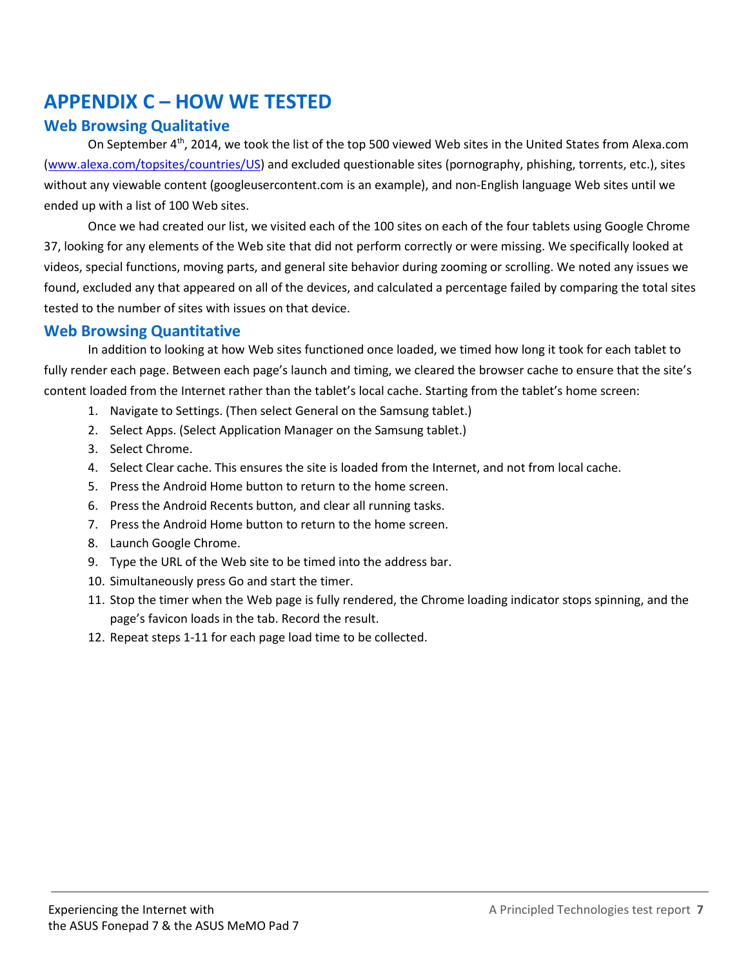### <span id="page-6-0"></span>**APPENDIX C – HOW WE TESTED**

#### **Web Browsing Qualitative**

On September 4th, 2014, we took the list of the top 500 viewed Web sites in the United States from Alexa.com [\(www.alexa.com/topsites/countries/US\)](http://www.alexa.com/topsites/countries/US) and excluded questionable sites (pornography, phishing, torrents, etc.), sites without any viewable content (googleusercontent.com is an example), and non-English language Web sites until we ended up with a list of 100 Web sites.

Once we had created our list, we visited each of the 100 sites on each of the four tablets using Google Chrome 37, looking for any elements of the Web site that did not perform correctly or were missing. We specifically looked at videos, special functions, moving parts, and general site behavior during zooming or scrolling. We noted any issues we found, excluded any that appeared on all of the devices, and calculated a percentage failed by comparing the total sites tested to the number of sites with issues on that device.

#### **Web Browsing Quantitative**

In addition to looking at how Web sites functioned once loaded, we timed how long it took for each tablet to fully render each page. Between each page's launch and timing, we cleared the browser cache to ensure that the site's content loaded from the Internet rather than the tablet's local cache. Starting from the tablet's home screen:

- 1. Navigate to Settings. (Then select General on the Samsung tablet.)
- 2. Select Apps. (Select Application Manager on the Samsung tablet.)
- 3. Select Chrome.
- 4. Select Clear cache. This ensures the site is loaded from the Internet, and not from local cache.
- 5. Press the Android Home button to return to the home screen.
- 6. Press the Android Recents button, and clear all running tasks.
- 7. Press the Android Home button to return to the home screen.
- 8. Launch Google Chrome.
- 9. Type the URL of the Web site to be timed into the address bar.
- 10. Simultaneously press Go and start the timer.
- 11. Stop the timer when the Web page is fully rendered, the Chrome loading indicator stops spinning, and the page's favicon loads in the tab. Record the result.
- 12. Repeat steps 1-11 for each page load time to be collected.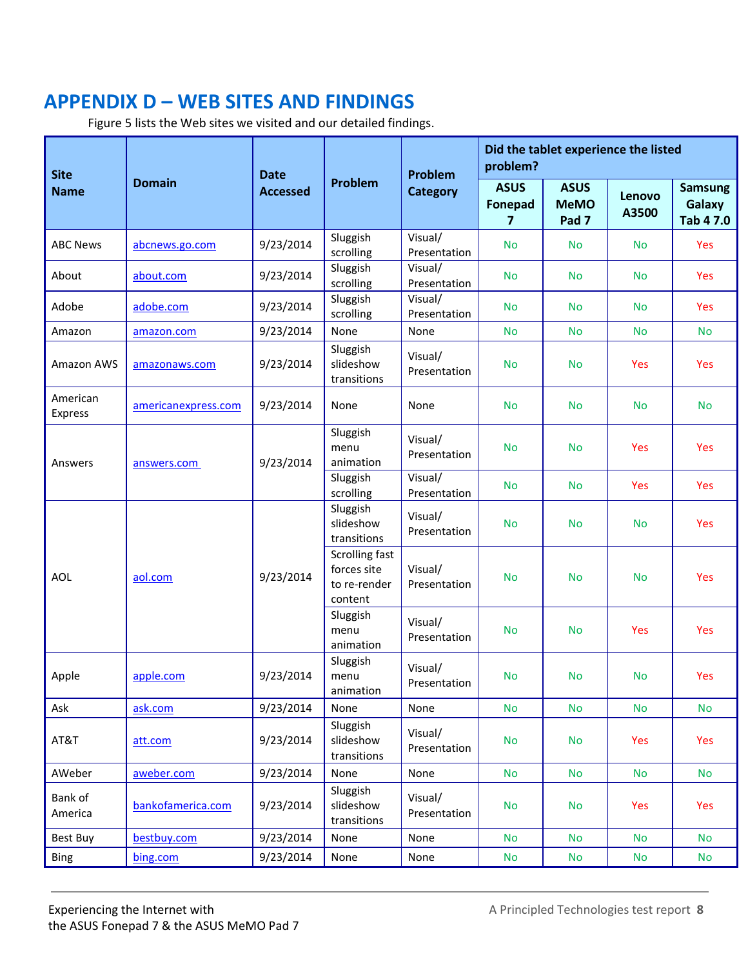# <span id="page-7-0"></span>**APPENDIX D – WEB SITES AND FINDINGS**

Figure 5 lists the Web sites we visited and our detailed findings.

| <b>Site</b>         |                     | <b>Date</b>     |                                                          | Problem                 | problem?                           | Did the tablet experience the listed           |                 |                                       |  |
|---------------------|---------------------|-----------------|----------------------------------------------------------|-------------------------|------------------------------------|------------------------------------------------|-----------------|---------------------------------------|--|
| <b>Name</b>         | <b>Domain</b>       | <b>Accessed</b> | Problem                                                  | <b>Category</b>         | <b>ASUS</b><br><b>Fonepad</b><br>7 | <b>ASUS</b><br><b>MeMO</b><br>Pad <sub>7</sub> | Lenovo<br>A3500 | <b>Samsung</b><br>Galaxy<br>Tab 4 7.0 |  |
| <b>ABC News</b>     | abcnews.go.com      | 9/23/2014       | Sluggish<br>scrolling                                    | Visual/<br>Presentation | <b>No</b>                          | <b>No</b>                                      | <b>No</b>       | Yes                                   |  |
| About               | about.com           | 9/23/2014       | Sluggish<br>scrolling                                    | Visual/<br>Presentation | <b>No</b>                          | <b>No</b>                                      | <b>No</b>       | Yes                                   |  |
| Adobe               | adobe.com           | 9/23/2014       | Sluggish<br>scrolling                                    | Visual/<br>Presentation | <b>No</b>                          | <b>No</b>                                      | <b>No</b>       | Yes                                   |  |
| Amazon              | amazon.com          | 9/23/2014       | None                                                     | None                    | <b>No</b>                          | <b>No</b>                                      | <b>No</b>       | <b>No</b>                             |  |
| Amazon AWS          | amazonaws.com       | 9/23/2014       | Sluggish<br>slideshow<br>transitions                     | Visual/<br>Presentation | <b>No</b>                          | <b>No</b>                                      | <b>Yes</b>      | Yes                                   |  |
| American<br>Express | americanexpress.com | 9/23/2014       | None                                                     | None                    | <b>No</b>                          | <b>No</b>                                      | <b>No</b>       | <b>No</b>                             |  |
| Answers             | answers.com         | 9/23/2014       | Sluggish<br>menu<br>animation                            | Visual/<br>Presentation | <b>No</b>                          | <b>No</b>                                      | <b>Yes</b>      | Yes                                   |  |
|                     |                     |                 | Sluggish<br>scrolling                                    | Visual/<br>Presentation | <b>No</b>                          | <b>No</b>                                      | <b>Yes</b>      | Yes                                   |  |
|                     | aol.com             |                 | Sluggish<br>slideshow<br>transitions                     | Visual/<br>Presentation | <b>No</b>                          | <b>No</b>                                      | <b>No</b>       | Yes                                   |  |
| <b>AOL</b>          |                     | 9/23/2014       | Scrolling fast<br>forces site<br>to re-render<br>content | Visual/<br>Presentation | <b>No</b>                          | <b>No</b>                                      | <b>No</b>       | Yes                                   |  |
|                     |                     |                 | Sluggish<br>menu<br>animation                            | Visual/<br>Presentation | <b>No</b>                          | <b>No</b>                                      | Yes             | Yes                                   |  |
| Apple               | apple.com           | 9/23/2014       | Sluggish<br>menu<br>animation                            | Visual/<br>Presentation | <b>No</b>                          | <b>No</b>                                      | <b>No</b>       | Yes                                   |  |
| Ask                 | ask.com             | 9/23/2014       | None                                                     | None                    | <b>No</b>                          | <b>No</b>                                      | <b>No</b>       | <b>No</b>                             |  |
| AT&T                | att.com             | 9/23/2014       | Sluggish<br>slideshow<br>transitions                     | Visual/<br>Presentation | <b>No</b>                          | <b>No</b>                                      | Yes             | Yes                                   |  |
| AWeber              | aweber.com          | 9/23/2014       | None                                                     | None                    | <b>No</b>                          | <b>No</b>                                      | <b>No</b>       | <b>No</b>                             |  |
| Bank of<br>America  | bankofamerica.com   | 9/23/2014       | Sluggish<br>slideshow<br>transitions                     | Visual/<br>Presentation | <b>No</b>                          | <b>No</b>                                      | Yes             | Yes                                   |  |
| Best Buy            | bestbuy.com         | 9/23/2014       | None                                                     | None                    | <b>No</b>                          | <b>No</b>                                      | <b>No</b>       | <b>No</b>                             |  |
| <b>Bing</b>         | bing.com            | 9/23/2014       | None                                                     | None                    | <b>No</b>                          | No                                             | <b>No</b>       | No                                    |  |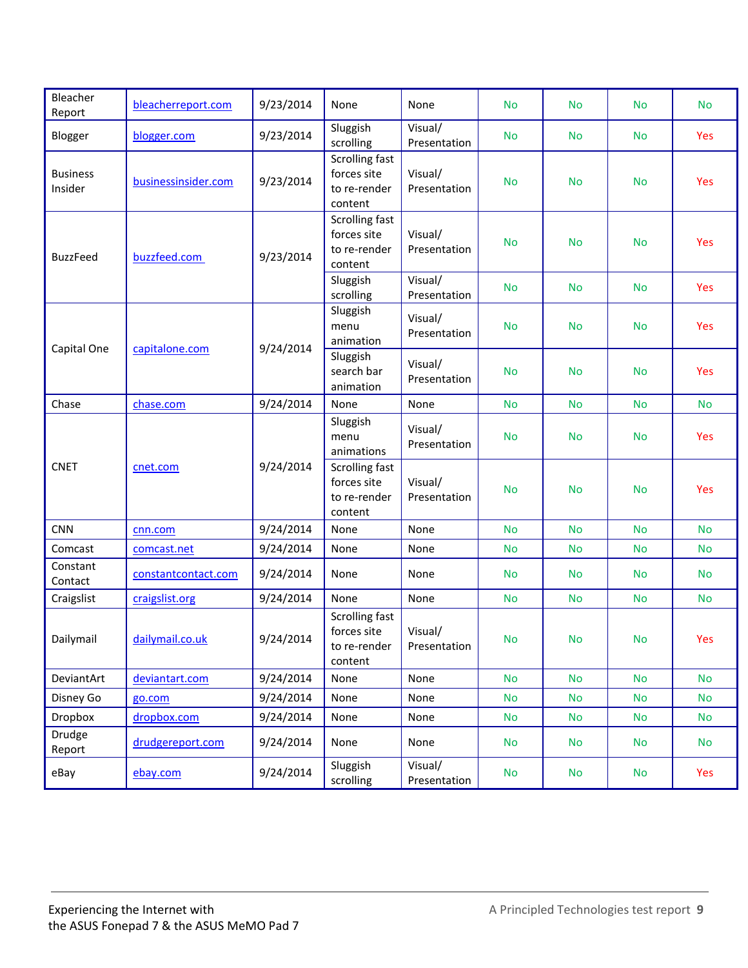| Bleacher<br>Report         | bleacherreport.com  | 9/23/2014 | None                                                            | None                    | <b>No</b> | <b>No</b> | <b>No</b> | <b>No</b> |
|----------------------------|---------------------|-----------|-----------------------------------------------------------------|-------------------------|-----------|-----------|-----------|-----------|
| Blogger                    | blogger.com         | 9/23/2014 | Sluggish<br>scrolling                                           | Visual/<br>Presentation | <b>No</b> | <b>No</b> | <b>No</b> | Yes       |
| <b>Business</b><br>Insider | businessinsider.com | 9/23/2014 | Scrolling fast<br>forces site<br>to re-render<br>content        | Visual/<br>Presentation | <b>No</b> | <b>No</b> | <b>No</b> | Yes       |
| <b>BuzzFeed</b>            | buzzfeed.com        | 9/23/2014 | Scrolling fast<br>forces site<br>to re-render<br>content        | Visual/<br>Presentation | <b>No</b> | <b>No</b> | <b>No</b> | Yes       |
|                            |                     |           | Sluggish<br>scrolling                                           | Visual/<br>Presentation | <b>No</b> | <b>No</b> | <b>No</b> | Yes       |
|                            | capitalone.com      | 9/24/2014 | Sluggish<br>menu<br>animation                                   | Visual/<br>Presentation | <b>No</b> | <b>No</b> | <b>No</b> | Yes       |
| Capital One                |                     |           | Sluggish<br>search bar<br>animation                             | Visual/<br>Presentation | <b>No</b> | <b>No</b> | <b>No</b> | Yes       |
| Chase                      | chase.com           | 9/24/2014 | None                                                            | None                    | <b>No</b> | <b>No</b> | <b>No</b> | <b>No</b> |
|                            | cnet.com            | 9/24/2014 | Sluggish<br>menu<br>animations                                  | Visual/<br>Presentation | <b>No</b> | <b>No</b> | <b>No</b> | Yes       |
| <b>CNET</b>                |                     |           | <b>Scrolling fast</b><br>forces site<br>to re-render<br>content | Visual/<br>Presentation | <b>No</b> | <b>No</b> | <b>No</b> | Yes       |
| <b>CNN</b>                 | cnn.com             | 9/24/2014 | None                                                            | None                    | <b>No</b> | <b>No</b> | <b>No</b> | <b>No</b> |
| Comcast                    | comcast.net         | 9/24/2014 | None                                                            | None                    | <b>No</b> | <b>No</b> | <b>No</b> | <b>No</b> |
| Constant<br>Contact        | constantcontact.com | 9/24/2014 | None                                                            | None                    | <b>No</b> | <b>No</b> | <b>No</b> | <b>No</b> |
| Craigslist                 | craigslist.org      | 9/24/2014 | None                                                            | None                    | <b>No</b> | <b>No</b> | <b>No</b> | <b>No</b> |
| Dailymail                  | dailymail.co.uk     | 9/24/2014 | Scrolling fast<br>forces site<br>to re-render<br>content        | Visual/<br>Presentation | <b>No</b> | <b>No</b> | <b>No</b> | Yes       |
| DeviantArt                 | deviantart.com      | 9/24/2014 | None                                                            | None                    | <b>No</b> | <b>No</b> | <b>No</b> | <b>No</b> |
| Disney Go                  | go.com              | 9/24/2014 | None                                                            | None                    | <b>No</b> | No        | <b>No</b> | <b>No</b> |
| Dropbox                    | dropbox.com         | 9/24/2014 | None                                                            | None                    | <b>No</b> | <b>No</b> | <b>No</b> | <b>No</b> |
| Drudge<br>Report           | drudgereport.com    | 9/24/2014 | None                                                            | None                    | <b>No</b> | <b>No</b> | <b>No</b> | <b>No</b> |
| eBay                       | ebay.com            | 9/24/2014 | Sluggish<br>scrolling                                           | Visual/<br>Presentation | <b>No</b> | <b>No</b> | <b>No</b> | Yes       |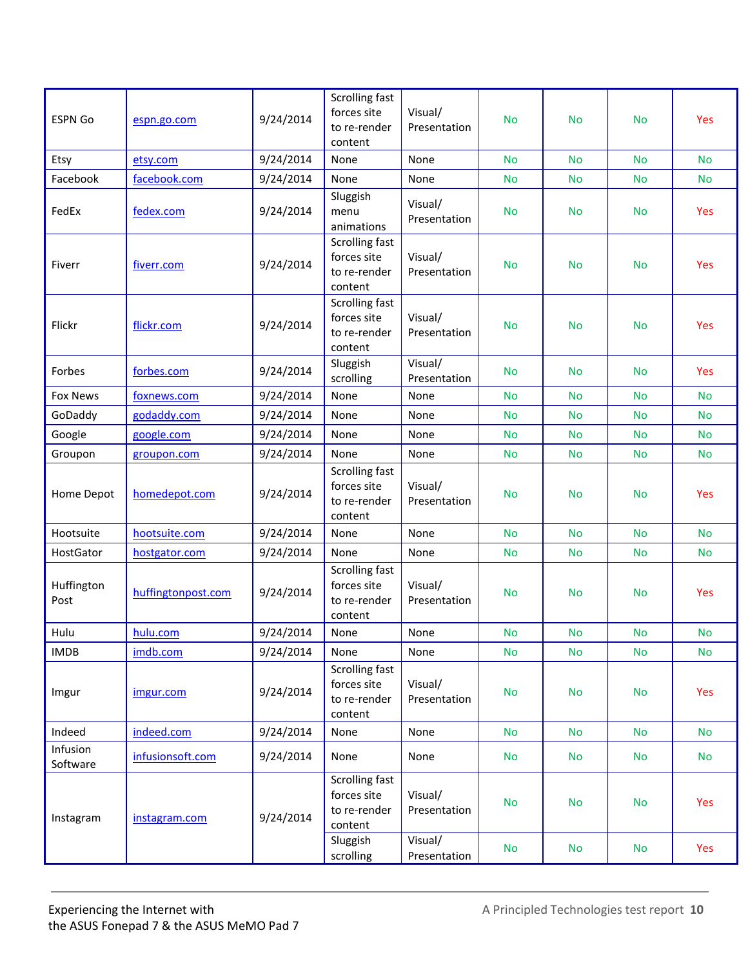| <b>ESPN Go</b>       | espn.go.com        | 9/24/2014 | Scrolling fast<br>forces site<br>to re-render<br>content | Visual/<br>Presentation | <b>No</b> | <b>No</b> | <b>No</b> | Yes        |
|----------------------|--------------------|-----------|----------------------------------------------------------|-------------------------|-----------|-----------|-----------|------------|
| Etsy                 | etsy.com           | 9/24/2014 | None                                                     | None                    | <b>No</b> | <b>No</b> | <b>No</b> | <b>No</b>  |
| Facebook             | facebook.com       | 9/24/2014 | None                                                     | None                    | <b>No</b> | <b>No</b> | <b>No</b> | <b>No</b>  |
| FedEx                | fedex.com          | 9/24/2014 | Sluggish<br>menu<br>animations                           | Visual/<br>Presentation | <b>No</b> | <b>No</b> | <b>No</b> | Yes        |
| Fiverr               | fiverr.com         | 9/24/2014 | Scrolling fast<br>forces site<br>to re-render<br>content | Visual/<br>Presentation | <b>No</b> | <b>No</b> | <b>No</b> | Yes        |
| Flickr               | flickr.com         | 9/24/2014 | Scrolling fast<br>forces site<br>to re-render<br>content | Visual/<br>Presentation | <b>No</b> | <b>No</b> | <b>No</b> | Yes        |
| Forbes               | forbes.com         | 9/24/2014 | Sluggish<br>scrolling                                    | Visual/<br>Presentation | <b>No</b> | <b>No</b> | <b>No</b> | Yes        |
| <b>Fox News</b>      | foxnews.com        | 9/24/2014 | None                                                     | None                    | <b>No</b> | <b>No</b> | <b>No</b> | <b>No</b>  |
| GoDaddy              | godaddy.com        | 9/24/2014 | None                                                     | None                    | <b>No</b> | <b>No</b> | <b>No</b> | <b>No</b>  |
| Google               | google.com         | 9/24/2014 | None                                                     | None                    | <b>No</b> | <b>No</b> | <b>No</b> | <b>No</b>  |
| Groupon              | groupon.com        | 9/24/2014 | None                                                     | None                    | No        | <b>No</b> | <b>No</b> | <b>No</b>  |
| Home Depot           | homedepot.com      | 9/24/2014 | Scrolling fast<br>forces site<br>to re-render<br>content | Visual/<br>Presentation | <b>No</b> | <b>No</b> | <b>No</b> | <b>Yes</b> |
| Hootsuite            | hootsuite.com      | 9/24/2014 | None                                                     | None                    | <b>No</b> | <b>No</b> | <b>No</b> | <b>No</b>  |
| HostGator            | hostgator.com      | 9/24/2014 | None                                                     | None                    | <b>No</b> | <b>No</b> | <b>No</b> | <b>No</b>  |
| Huffington<br>Post   | huffingtonpost.com | 9/24/2014 | Scrolling fast<br>forces site<br>to re-render<br>content | Visual/<br>Presentation | <b>No</b> | <b>No</b> | <b>No</b> | Yes        |
| Hulu                 | hulu.com           | 9/24/2014 | None                                                     | None                    | <b>No</b> | No        | <b>No</b> | <b>No</b>  |
| <b>IMDB</b>          | imdb.com           | 9/24/2014 | None                                                     | None                    | <b>No</b> | <b>No</b> | <b>No</b> | <b>No</b>  |
| Imgur                | imgur.com          | 9/24/2014 | Scrolling fast<br>forces site<br>to re-render<br>content | Visual/<br>Presentation | <b>No</b> | <b>No</b> | <b>No</b> | Yes        |
| Indeed               | indeed.com         | 9/24/2014 | None                                                     | None                    | <b>No</b> | <b>No</b> | <b>No</b> | <b>No</b>  |
| Infusion<br>Software | infusionsoft.com   | 9/24/2014 | None                                                     | None                    | <b>No</b> | <b>No</b> | <b>No</b> | No         |
| Instagram            | instagram.com      | 9/24/2014 | Scrolling fast<br>forces site<br>to re-render<br>content | Visual/<br>Presentation | No        | <b>No</b> | <b>No</b> | Yes        |
|                      |                    |           | Sluggish<br>scrolling                                    | Visual/<br>Presentation | <b>No</b> | No        | <b>No</b> | Yes        |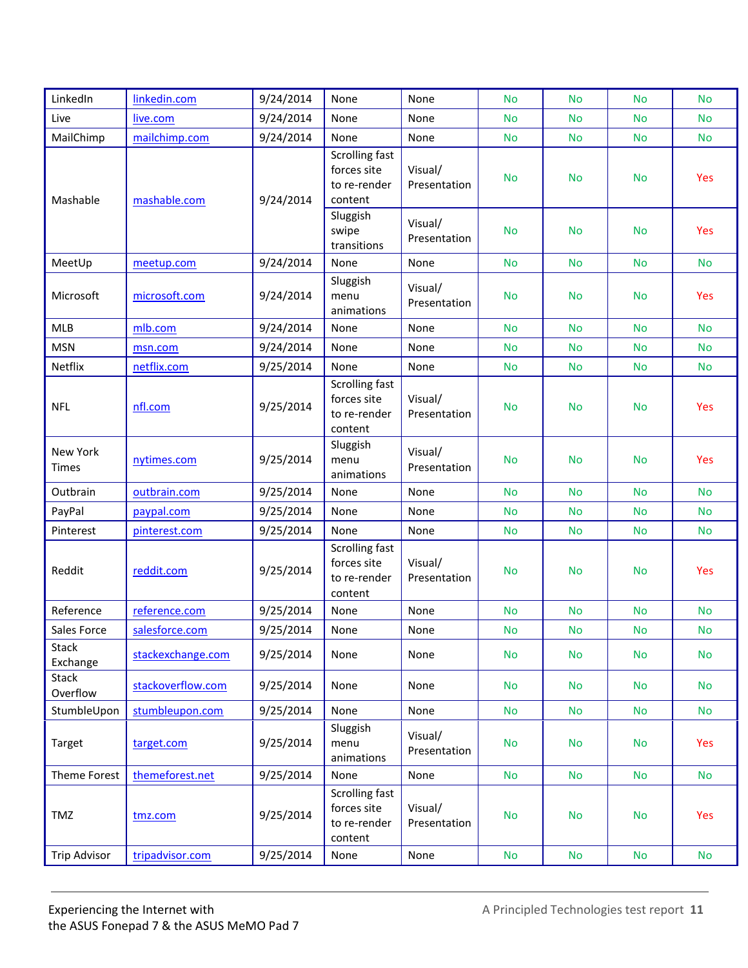| LinkedIn                 | linkedin.com      | 9/24/2014 | None                                                     | None                    | <b>No</b> | <b>No</b> | <b>No</b> | <b>No</b> |
|--------------------------|-------------------|-----------|----------------------------------------------------------|-------------------------|-----------|-----------|-----------|-----------|
| Live                     | live.com          | 9/24/2014 | None                                                     | None                    | <b>No</b> | <b>No</b> | <b>No</b> | <b>No</b> |
| MailChimp                | mailchimp.com     | 9/24/2014 | None                                                     | None                    | No.       | <b>No</b> | <b>No</b> | <b>No</b> |
| Mashable                 | mashable.com      | 9/24/2014 | Scrolling fast<br>forces site<br>to re-render<br>content | Visual/<br>Presentation | <b>No</b> | <b>No</b> | <b>No</b> | Yes       |
|                          |                   |           | Sluggish<br>swipe<br>transitions                         | Visual/<br>Presentation | <b>No</b> | <b>No</b> | <b>No</b> | Yes       |
| MeetUp                   | meetup.com        | 9/24/2014 | None                                                     | None                    | <b>No</b> | <b>No</b> | <b>No</b> | <b>No</b> |
| Microsoft                | microsoft.com     | 9/24/2014 | Sluggish<br>menu<br>animations                           | Visual/<br>Presentation | <b>No</b> | <b>No</b> | <b>No</b> | Yes       |
| <b>MLB</b>               | mlb.com           | 9/24/2014 | None                                                     | None                    | <b>No</b> | <b>No</b> | <b>No</b> | <b>No</b> |
| <b>MSN</b>               | msn.com           | 9/24/2014 | None                                                     | None                    | <b>No</b> | <b>No</b> | <b>No</b> | <b>No</b> |
| Netflix                  | netflix.com       | 9/25/2014 | None                                                     | None                    | No.       | <b>No</b> | <b>No</b> | <b>No</b> |
| <b>NFL</b>               | nfl.com           | 9/25/2014 | Scrolling fast<br>forces site<br>to re-render<br>content | Visual/<br>Presentation | <b>No</b> | <b>No</b> | <b>No</b> | Yes       |
| New York<br><b>Times</b> | nytimes.com       | 9/25/2014 | Sluggish<br>menu<br>animations                           | Visual/<br>Presentation | <b>No</b> | <b>No</b> | <b>No</b> | Yes       |
| Outbrain                 | outbrain.com      | 9/25/2014 | None                                                     | None                    | <b>No</b> | <b>No</b> | <b>No</b> | <b>No</b> |
| PayPal                   | paypal.com        | 9/25/2014 | None                                                     | None                    | No.       | <b>No</b> | <b>No</b> | <b>No</b> |
| Pinterest                | pinterest.com     | 9/25/2014 | None                                                     | None                    | <b>No</b> | <b>No</b> | <b>No</b> | <b>No</b> |
| Reddit                   | reddit.com        | 9/25/2014 | Scrolling fast<br>forces site<br>to re-render<br>content | Visual/<br>Presentation | <b>No</b> | <b>No</b> | <b>No</b> | Yes       |
| Reference                | reference.com     | 9/25/2014 | None                                                     | None                    | <b>No</b> | <b>No</b> | <b>No</b> | <b>No</b> |
| Sales Force              | salesforce.com    | 9/25/2014 | None                                                     | None                    | <b>No</b> | <b>No</b> | <b>No</b> | No        |
| <b>Stack</b><br>Exchange | stackexchange.com | 9/25/2014 | None                                                     | None                    | <b>No</b> | <b>No</b> | <b>No</b> | <b>No</b> |
| <b>Stack</b><br>Overflow | stackoverflow.com | 9/25/2014 | None                                                     | None                    | <b>No</b> | <b>No</b> | No.       | <b>No</b> |
| StumbleUpon              | stumbleupon.com   | 9/25/2014 | None                                                     | None                    | <b>No</b> | <b>No</b> | <b>No</b> | <b>No</b> |
| Target                   | target.com        | 9/25/2014 | Sluggish<br>menu<br>animations                           | Visual/<br>Presentation | <b>No</b> | <b>No</b> | <b>No</b> | Yes       |
| Theme Forest             | themeforest.net   | 9/25/2014 | None                                                     | None                    | <b>No</b> | <b>No</b> | <b>No</b> | <b>No</b> |
| TMZ                      | tmz.com           | 9/25/2014 | Scrolling fast<br>forces site<br>to re-render<br>content | Visual/<br>Presentation | No        | <b>No</b> | <b>No</b> | Yes       |
| <b>Trip Advisor</b>      | tripadvisor.com   | 9/25/2014 | None                                                     | None                    | <b>No</b> | <b>No</b> | <b>No</b> | <b>No</b> |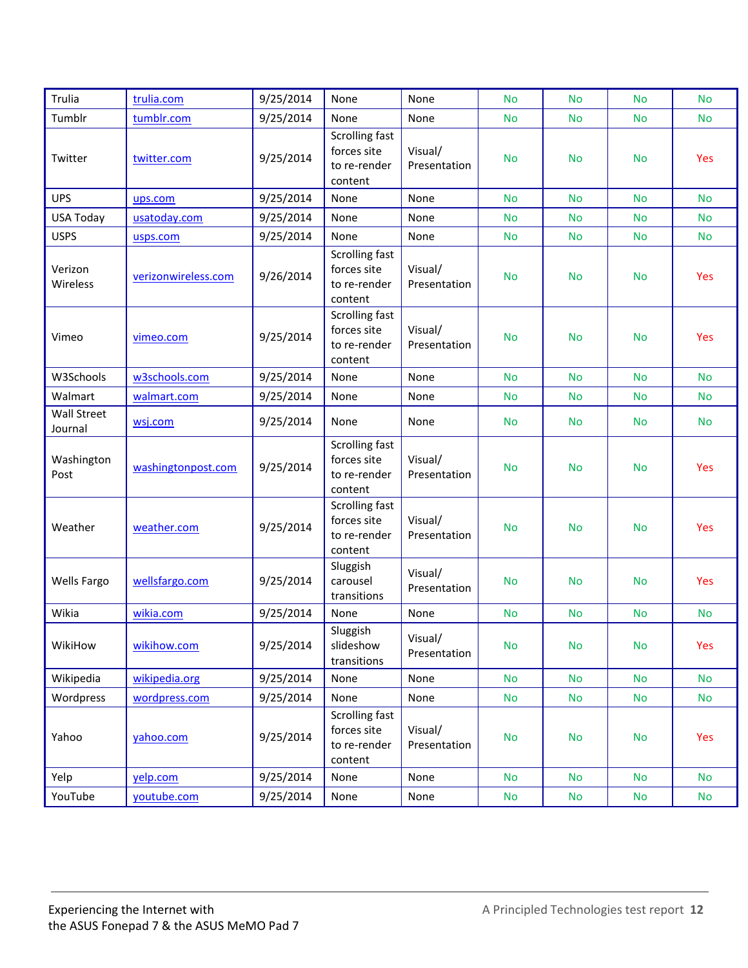| Trulia                 | trulia.com          | 9/25/2014 | None                                                            | None                    | <b>No</b> | <b>No</b> | <b>No</b>     | <b>No</b>  |
|------------------------|---------------------|-----------|-----------------------------------------------------------------|-------------------------|-----------|-----------|---------------|------------|
| Tumblr                 | tumblr.com          | 9/25/2014 | None                                                            | None                    | <b>No</b> | <b>No</b> | <b>No</b>     | <b>No</b>  |
| Twitter                | twitter.com         | 9/25/2014 | Scrolling fast<br>forces site<br>to re-render<br>content        | Visual/<br>Presentation | <b>No</b> | <b>No</b> | <b>No</b>     | <b>Yes</b> |
| <b>UPS</b>             | ups.com             | 9/25/2014 | None                                                            | None                    | <b>No</b> | <b>No</b> | <b>No</b>     | <b>No</b>  |
| <b>USA Today</b>       | usatoday.com        | 9/25/2014 | None                                                            | None                    | <b>No</b> | <b>No</b> | <b>No</b>     | <b>No</b>  |
| <b>USPS</b>            | usps.com            | 9/25/2014 | None                                                            | None                    | No.       | <b>No</b> | <b>No</b>     | <b>No</b>  |
| Verizon<br>Wireless    | verizonwireless.com | 9/26/2014 | Scrolling fast<br>forces site<br>to re-render<br>content        | Visual/<br>Presentation | <b>No</b> | <b>No</b> | <b>No</b>     | Yes        |
| Vimeo                  | vimeo.com           | 9/25/2014 | <b>Scrolling fast</b><br>forces site<br>to re-render<br>content | Visual/<br>Presentation | <b>No</b> | <b>No</b> | <b>No</b>     | Yes        |
| W3Schools              | w3schools.com       | 9/25/2014 | None                                                            | None                    | <b>No</b> | <b>No</b> | <b>No</b>     | <b>No</b>  |
| Walmart                | walmart.com         | 9/25/2014 | None                                                            | None                    | No        | <b>No</b> | No            | <b>No</b>  |
| Wall Street<br>Journal | wsj.com             | 9/25/2014 | None                                                            | None                    | <b>No</b> | <b>No</b> | <b>No</b>     | <b>No</b>  |
| Washington<br>Post     | washingtonpost.com  | 9/25/2014 | <b>Scrolling fast</b><br>forces site<br>to re-render<br>content | Visual/<br>Presentation | <b>No</b> | <b>No</b> | <b>No</b>     | Yes        |
| Weather                | weather.com         | 9/25/2014 | <b>Scrolling fast</b><br>forces site<br>to re-render<br>content | Visual/<br>Presentation | <b>No</b> | <b>No</b> | <b>No</b>     | Yes        |
| <b>Wells Fargo</b>     | wellsfargo.com      | 9/25/2014 | Sluggish<br>carousel<br>transitions                             | Visual/<br>Presentation | <b>No</b> | <b>No</b> | <b>No</b>     | Yes        |
| Wikia                  | wikia.com           | 9/25/2014 | None                                                            | None                    | <b>No</b> | <b>No</b> | <b>No</b>     | <b>No</b>  |
| WikiHow                | wikihow.com         | 9/25/2014 | Sluggish<br>slideshow<br>transitions                            | Visual/<br>Presentation | <b>No</b> | <b>No</b> | <b>No</b>     | Yes        |
| Wikipedia              | wikipedia.org       | 9/25/2014 | None                                                            | None                    | <b>No</b> | <b>No</b> | <b>No</b>     | <b>No</b>  |
| Wordpress              | wordpress.com       | 9/25/2014 | None                                                            | None                    | <b>No</b> | No        | No            | <b>No</b>  |
| Yahoo                  | yahoo.com           | 9/25/2014 | Scrolling fast<br>forces site<br>to re-render<br>content        | Visual/<br>Presentation | <b>No</b> | No        | <b>No</b>     | Yes        |
| Yelp                   | yelp.com            | 9/25/2014 | None                                                            | None                    | <b>No</b> | <b>No</b> | No            | <b>No</b>  |
| YouTube                | youtube.com         | 9/25/2014 | None                                                            | None                    | <b>No</b> | No        | $\mathsf{No}$ | <b>No</b>  |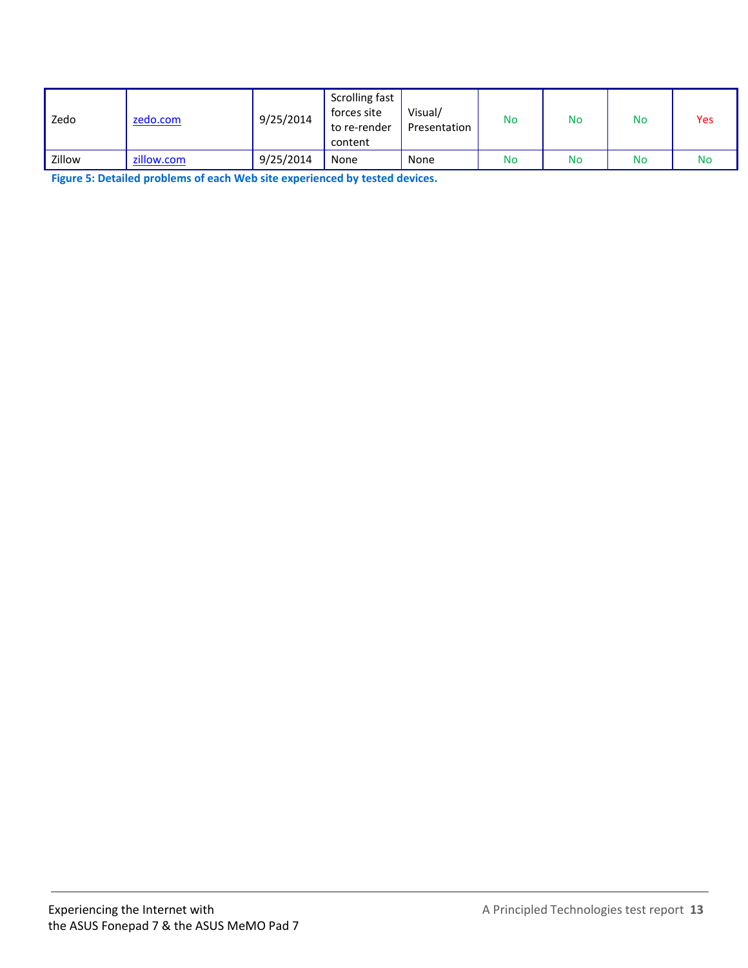| Zedo   | zedo.com   | 9/25/2014 | Scrolling fast<br>forces site<br>to re-render<br>content | Visual/<br>Presentation | No | <b>No</b> | No | Yes |
|--------|------------|-----------|----------------------------------------------------------|-------------------------|----|-----------|----|-----|
| Zillow | zillow.com | 9/25/2014 | None                                                     | None                    | No | No        | No | No  |

**Figure 5: Detailed problems of each Web site experienced by tested devices.**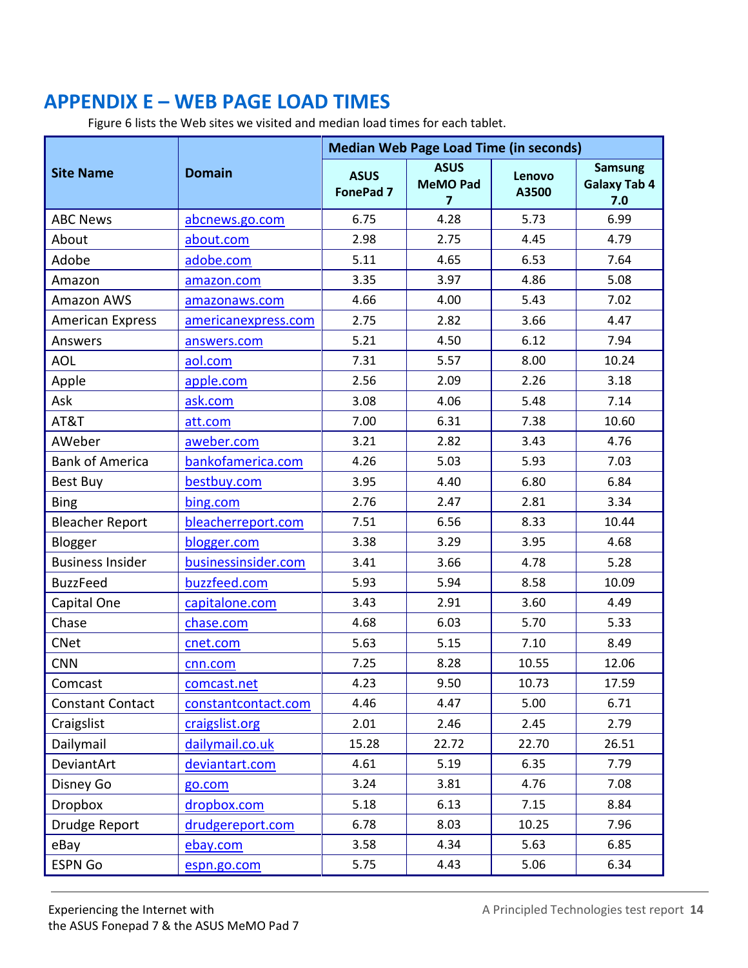## <span id="page-13-0"></span>**APPENDIX E – WEB PAGE LOAD TIMES**

Figure 6 lists the Web sites we visited and median load times for each tablet.

|                         |                     |                                 | <b>Median Web Page Load Time (in seconds)</b> |                 |                                              |
|-------------------------|---------------------|---------------------------------|-----------------------------------------------|-----------------|----------------------------------------------|
| <b>Site Name</b>        | <b>Domain</b>       | <b>ASUS</b><br><b>FonePad 7</b> | <b>ASUS</b><br><b>MeMO Pad</b><br>7           | Lenovo<br>A3500 | <b>Samsung</b><br><b>Galaxy Tab 4</b><br>7.0 |
| <b>ABC News</b>         | abcnews.go.com      | 6.75                            | 4.28                                          | 5.73            | 6.99                                         |
| About                   | about.com           | 2.98                            | 2.75                                          | 4.45            | 4.79                                         |
| Adobe                   | adobe.com           | 5.11                            | 4.65                                          | 6.53            | 7.64                                         |
| Amazon                  | amazon.com          | 3.35                            | 3.97                                          | 4.86            | 5.08                                         |
| <b>Amazon AWS</b>       | amazonaws.com       | 4.66                            | 4.00                                          | 5.43            | 7.02                                         |
| <b>American Express</b> | americanexpress.com | 2.75                            | 2.82                                          | 3.66            | 4.47                                         |
| Answers                 | answers.com         | 5.21                            | 4.50                                          | 6.12            | 7.94                                         |
| <b>AOL</b>              | aol.com             | 7.31                            | 5.57                                          | 8.00            | 10.24                                        |
| Apple                   | apple.com           | 2.56                            | 2.09                                          | 2.26            | 3.18                                         |
| Ask                     | ask.com             | 3.08                            | 4.06                                          | 5.48            | 7.14                                         |
| AT&T                    | att.com             | 7.00                            | 6.31                                          | 7.38            | 10.60                                        |
| AWeber                  | aweber.com          | 3.21                            | 2.82                                          | 3.43            | 4.76                                         |
| <b>Bank of America</b>  | bankofamerica.com   | 4.26                            | 5.03                                          | 5.93            | 7.03                                         |
| Best Buy                | bestbuy.com         | 3.95                            | 4.40                                          | 6.80            | 6.84                                         |
| <b>Bing</b>             | bing.com            | 2.76                            | 2.47                                          | 2.81            | 3.34                                         |
| <b>Bleacher Report</b>  | bleacherreport.com  | 7.51                            | 6.56                                          | 8.33            | 10.44                                        |
| Blogger                 | blogger.com         | 3.38                            | 3.29                                          | 3.95            | 4.68                                         |
| <b>Business Insider</b> | businessinsider.com | 3.41                            | 3.66                                          | 4.78            | 5.28                                         |
| <b>BuzzFeed</b>         | buzzfeed.com        | 5.93                            | 5.94                                          | 8.58            | 10.09                                        |
| Capital One             | capitalone.com      | 3.43                            | 2.91                                          | 3.60            | 4.49                                         |
| Chase                   | chase.com           | 4.68                            | 6.03                                          | 5.70            | 5.33                                         |
| <b>CNet</b>             | cnet.com            | 5.63                            | 5.15                                          | 7.10            | 8.49                                         |
| <b>CNN</b>              | cnn.com             | 7.25                            | 8.28                                          | 10.55           | 12.06                                        |
| Comcast                 | comcast.net         | 4.23                            | 9.50                                          | 10.73           | 17.59                                        |
| <b>Constant Contact</b> | constantcontact.com | 4.46                            | 4.47                                          | 5.00            | 6.71                                         |
| Craigslist              | craigslist.org      | 2.01                            | 2.46                                          | 2.45            | 2.79                                         |
| Dailymail               | dailymail.co.uk     | 15.28                           | 22.72                                         | 22.70           | 26.51                                        |
| DeviantArt              | deviantart.com      | 4.61                            | 5.19                                          | 6.35            | 7.79                                         |
| Disney Go               | go.com              | 3.24                            | 3.81                                          | 4.76            | 7.08                                         |
| <b>Dropbox</b>          | dropbox.com         | 5.18                            | 6.13                                          | 7.15            | 8.84                                         |
| Drudge Report           | drudgereport.com    | 6.78                            | 8.03                                          | 10.25           | 7.96                                         |
| eBay                    | ebay.com            | 3.58                            | 4.34                                          | 5.63            | 6.85                                         |
| <b>ESPN Go</b>          | espn.go.com         | 5.75                            | 4.43                                          | 5.06            | 6.34                                         |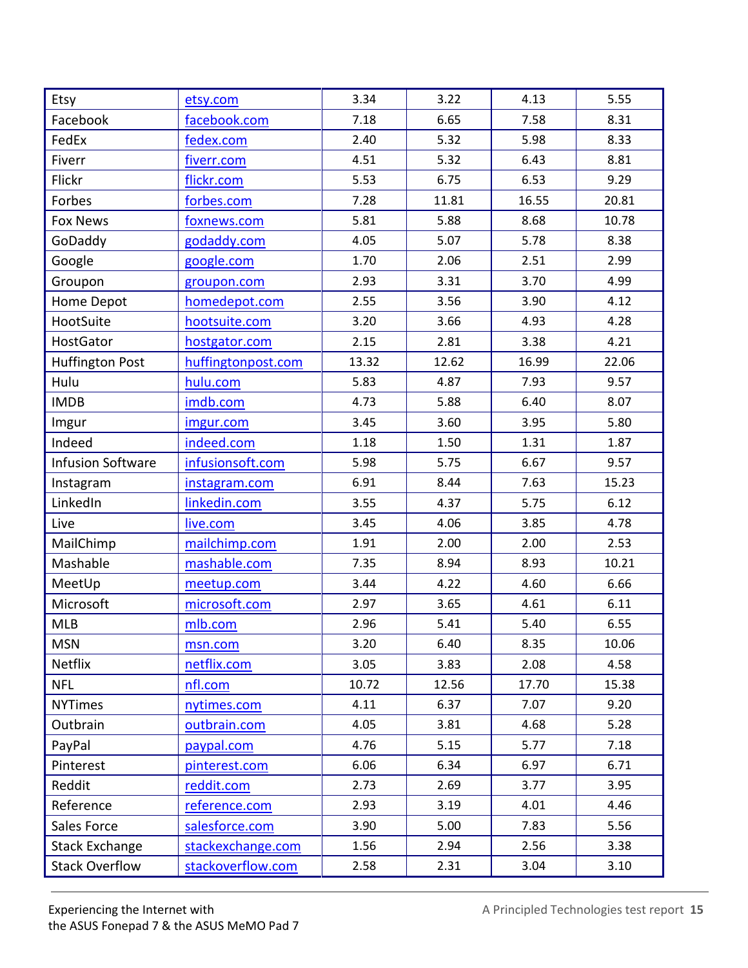| Etsy                     | etsy.com           | 3.34  | 3.22  | 4.13  | 5.55  |
|--------------------------|--------------------|-------|-------|-------|-------|
| Facebook                 | facebook.com       | 7.18  | 6.65  | 7.58  | 8.31  |
| FedEx                    | fedex.com          | 2.40  | 5.32  | 5.98  | 8.33  |
| Fiverr                   | fiverr.com         | 4.51  | 5.32  | 6.43  | 8.81  |
| Flickr                   | flickr.com         | 5.53  | 6.75  | 6.53  | 9.29  |
| Forbes                   | forbes.com         | 7.28  | 11.81 | 16.55 | 20.81 |
| <b>Fox News</b>          | foxnews.com        | 5.81  | 5.88  | 8.68  | 10.78 |
| GoDaddy                  | godaddy.com        | 4.05  | 5.07  | 5.78  | 8.38  |
| Google                   | google.com         | 1.70  | 2.06  | 2.51  | 2.99  |
| Groupon                  | groupon.com        | 2.93  | 3.31  | 3.70  | 4.99  |
| Home Depot               | homedepot.com      | 2.55  | 3.56  | 3.90  | 4.12  |
| HootSuite                | hootsuite.com      | 3.20  | 3.66  | 4.93  | 4.28  |
| <b>HostGator</b>         | hostgator.com      | 2.15  | 2.81  | 3.38  | 4.21  |
| <b>Huffington Post</b>   | huffingtonpost.com | 13.32 | 12.62 | 16.99 | 22.06 |
| Hulu                     | hulu.com           | 5.83  | 4.87  | 7.93  | 9.57  |
| <b>IMDB</b>              | imdb.com           | 4.73  | 5.88  | 6.40  | 8.07  |
| Imgur                    | imgur.com          | 3.45  | 3.60  | 3.95  | 5.80  |
| Indeed                   | indeed.com         | 1.18  | 1.50  | 1.31  | 1.87  |
| <b>Infusion Software</b> | infusionsoft.com   | 5.98  | 5.75  | 6.67  | 9.57  |
| Instagram                | instagram.com      | 6.91  | 8.44  | 7.63  | 15.23 |
| LinkedIn                 | linkedin.com       | 3.55  | 4.37  | 5.75  | 6.12  |
| Live                     | live.com           | 3.45  | 4.06  | 3.85  | 4.78  |
| MailChimp                | mailchimp.com      | 1.91  | 2.00  | 2.00  | 2.53  |
| Mashable                 | mashable.com       | 7.35  | 8.94  | 8.93  | 10.21 |
| MeetUp                   | meetup.com         | 3.44  | 4.22  | 4.60  | 6.66  |
| Microsoft                | microsoft.com      | 2.97  | 3.65  | 4.61  | 6.11  |
| <b>MLB</b>               | mlb.com            | 2.96  | 5.41  | 5.40  | 6.55  |
| <b>MSN</b>               | msn.com            | 3.20  | 6.40  | 8.35  | 10.06 |
| <b>Netflix</b>           | netflix.com        | 3.05  | 3.83  | 2.08  | 4.58  |
| <b>NFL</b>               | nfl.com            | 10.72 | 12.56 | 17.70 | 15.38 |
| <b>NYTimes</b>           | nytimes.com        | 4.11  | 6.37  | 7.07  | 9.20  |
| Outbrain                 | outbrain.com       | 4.05  | 3.81  | 4.68  | 5.28  |
| PayPal                   | paypal.com         | 4.76  | 5.15  | 5.77  | 7.18  |
| Pinterest                | pinterest.com      | 6.06  | 6.34  | 6.97  | 6.71  |
| Reddit                   | reddit.com         | 2.73  | 2.69  | 3.77  | 3.95  |
| Reference                | reference.com      | 2.93  | 3.19  | 4.01  | 4.46  |
| Sales Force              | salesforce.com     | 3.90  | 5.00  | 7.83  | 5.56  |
| <b>Stack Exchange</b>    | stackexchange.com  | 1.56  | 2.94  | 2.56  | 3.38  |
| <b>Stack Overflow</b>    | stackoverflow.com  | 2.58  | 2.31  | 3.04  | 3.10  |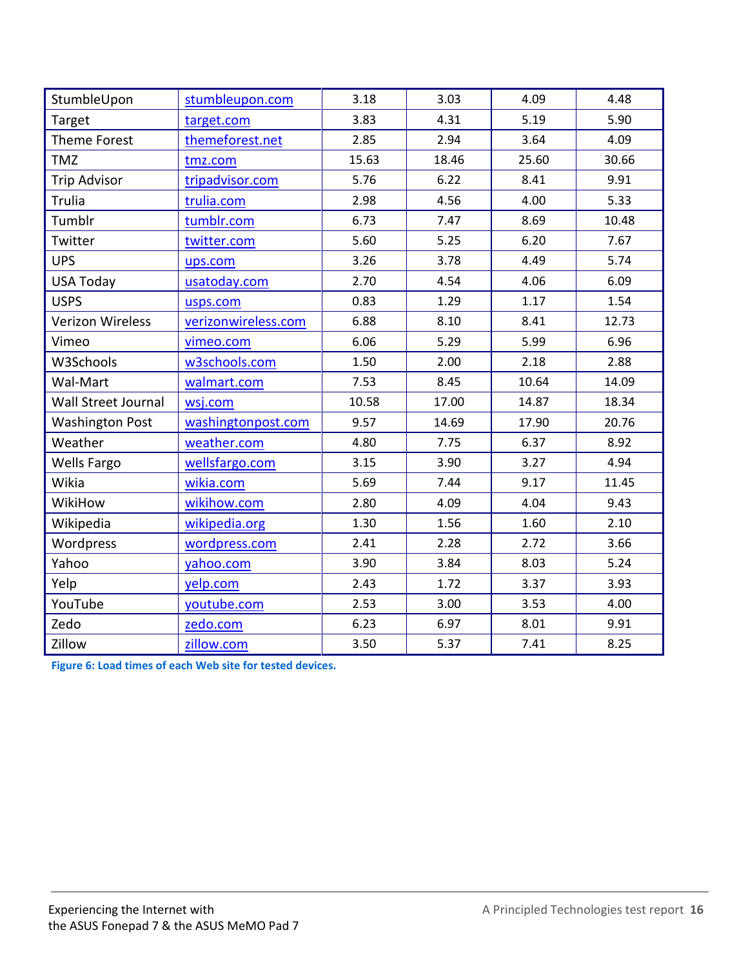| StumbleUpon             | stumbleupon.com     | 3.18  | 3.03  | 4.09  | 4.48  |
|-------------------------|---------------------|-------|-------|-------|-------|
| Target                  | target.com          | 3.83  | 4.31  | 5.19  | 5.90  |
| <b>Theme Forest</b>     | themeforest.net     | 2.85  | 2.94  | 3.64  | 4.09  |
| <b>TMZ</b>              | tmz.com             | 15.63 | 18.46 | 25.60 | 30.66 |
| <b>Trip Advisor</b>     | tripadvisor.com     | 5.76  | 6.22  | 8.41  | 9.91  |
| Trulia                  | trulia.com          | 2.98  | 4.56  | 4.00  | 5.33  |
| Tumblr                  | tumblr.com          | 6.73  | 7.47  | 8.69  | 10.48 |
| Twitter                 | twitter.com         | 5.60  | 5.25  | 6.20  | 7.67  |
| <b>UPS</b>              | ups.com             | 3.26  | 3.78  | 4.49  | 5.74  |
| <b>USA Today</b>        | usatoday.com        | 2.70  | 4.54  | 4.06  | 6.09  |
| <b>USPS</b>             | usps.com            | 0.83  | 1.29  | 1.17  | 1.54  |
| <b>Verizon Wireless</b> | verizonwireless.com | 6.88  | 8.10  | 8.41  | 12.73 |
| Vimeo                   | vimeo.com           | 6.06  | 5.29  | 5.99  | 6.96  |
| W3Schools               | w3schools.com       | 1.50  | 2.00  | 2.18  | 2.88  |
| Wal-Mart                | walmart.com         | 7.53  | 8.45  | 10.64 | 14.09 |
| Wall Street Journal     | wsj.com             | 10.58 | 17.00 | 14.87 | 18.34 |
| <b>Washington Post</b>  | washingtonpost.com  | 9.57  | 14.69 | 17.90 | 20.76 |
| Weather                 | weather.com         | 4.80  | 7.75  | 6.37  | 8.92  |
| <b>Wells Fargo</b>      | wellsfargo.com      | 3.15  | 3.90  | 3.27  | 4.94  |
| Wikia                   | wikia.com           | 5.69  | 7.44  | 9.17  | 11.45 |
| WikiHow                 | wikihow.com         | 2.80  | 4.09  | 4.04  | 9.43  |
| Wikipedia               | wikipedia.org       | 1.30  | 1.56  | 1.60  | 2.10  |
| Wordpress               | wordpress.com       | 2.41  | 2.28  | 2.72  | 3.66  |
| Yahoo                   | yahoo.com           | 3.90  | 3.84  | 8.03  | 5.24  |
| Yelp                    | yelp.com            | 2.43  | 1.72  | 3.37  | 3.93  |
| YouTube                 | youtube.com         | 2.53  | 3.00  | 3.53  | 4.00  |
| Zedo                    | zedo.com            | 6.23  | 6.97  | 8.01  | 9.91  |
| Zillow                  | zillow.com          | 3.50  | 5.37  | 7.41  | 8.25  |

**Figure 6: Load times of each Web site for tested devices.**